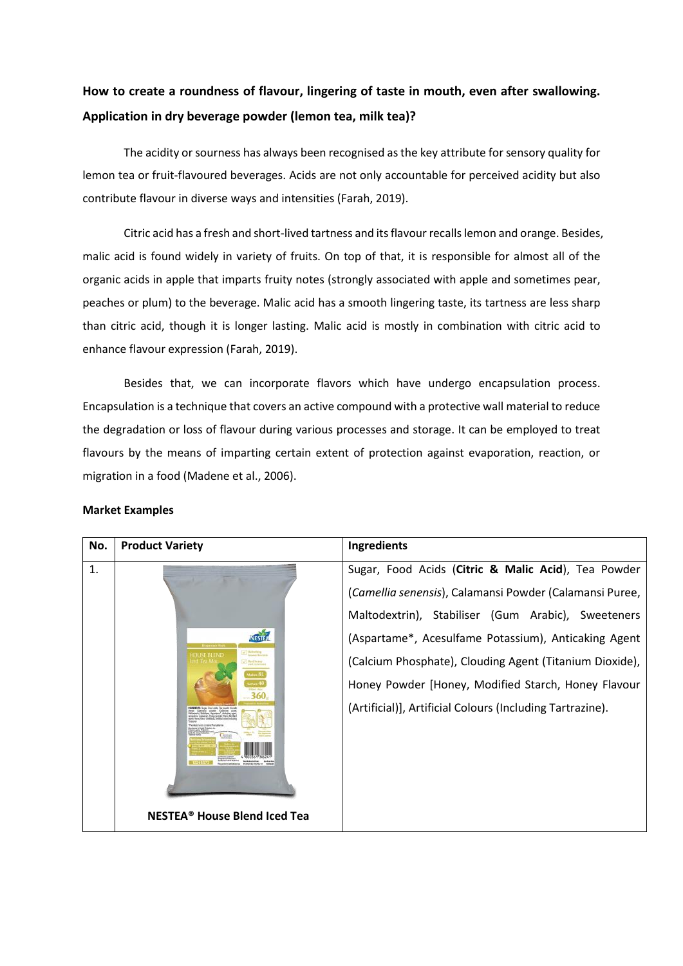## **How to create a roundness of flavour, lingering of taste in mouth, even after [swallowing.](http://www.ricebowlasia.com/questions/how-to-create-a-roundness-of-flavor-lingering-of-taste-in-mouth-even-after-swallowing-application-in-dry-beverage-powder-lemon-tea-milk-tea/) [Application](http://www.ricebowlasia.com/questions/how-to-create-a-roundness-of-flavor-lingering-of-taste-in-mouth-even-after-swallowing-application-in-dry-beverage-powder-lemon-tea-milk-tea/) in dry beverage powder (lemon tea, milk tea)?**

The acidity or sourness has always been recognised as the key attribute for sensory quality for lemon tea or fruit-flavoured beverages. Acids are not only accountable for perceived acidity but also contribute flavour in diverse ways and intensities (Farah, 2019).

Citric acid has a fresh and short-lived tartness and its flavour recalls lemon and orange. Besides, malic acid is found widely in variety of fruits. On top of that, it is responsible for almost all of the organic acids in apple that imparts fruity notes (strongly associated with apple and sometimes pear, peaches or plum) to the beverage. Malic acid has a smooth lingering taste, its tartness are less sharp than citric acid, though it is longer lasting. Malic acid is mostly in combination with citric acid to enhance flavour expression (Farah, 2019).

Besides that, we can incorporate flavors which have undergo encapsulation process. Encapsulation is a technique that covers an active compound with a protective wall material to reduce the degradation or loss of flavour during various processes and storage. It can be employed to treat flavours by the means of imparting certain extent of protection against evaporation, reaction, or migration in a food (Madene et al., 2006).

| No. | <b>Product Variety</b>                                                                                                                               | Ingredients                                                                                                                                                                                                                                                                                                                                                                                                 |
|-----|------------------------------------------------------------------------------------------------------------------------------------------------------|-------------------------------------------------------------------------------------------------------------------------------------------------------------------------------------------------------------------------------------------------------------------------------------------------------------------------------------------------------------------------------------------------------------|
| 1.  | NESTEN<br><b>Refracting</b><br>Internet Eco 1441<br><b>Bayl Inches</b><br>ad istiance<br>takan 151<br><b>NESTEA<sup>®</sup> House Blend Iced Tea</b> | Sugar, Food Acids (Citric & Malic Acid), Tea Powder<br>(Camellia senensis), Calamansi Powder (Calamansi Puree,<br>Maltodextrin), Stabiliser (Gum Arabic), Sweeteners<br>(Aspartame*, Acesulfame Potassium), Anticaking Agent<br>(Calcium Phosphate), Clouding Agent (Titanium Dioxide),<br>Honey Powder [Honey, Modified Starch, Honey Flavour<br>(Artificial)], Artificial Colours (Including Tartrazine). |

## **Market Examples**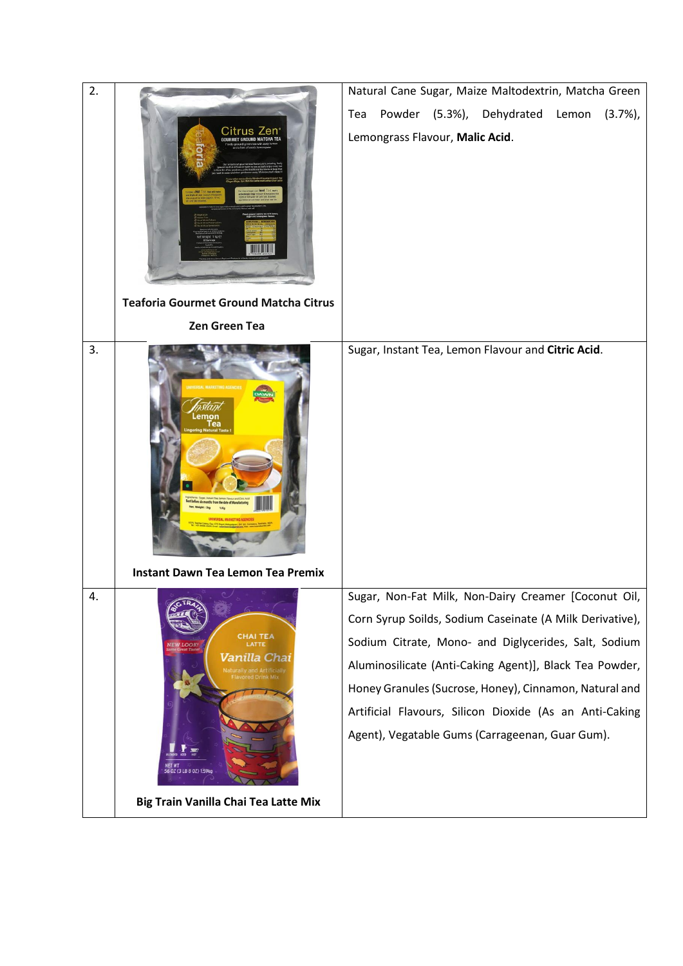| 2. |                                                                                                                                               | Natural Cane Sugar, Maize Maltodextrin, Matcha Green                                                       |
|----|-----------------------------------------------------------------------------------------------------------------------------------------------|------------------------------------------------------------------------------------------------------------|
|    | Zen                                                                                                                                           | Powder (5.3%),<br>Dehydrated<br>Lemon<br>Tea<br>$(3.7\%)$                                                  |
|    | <b>Teaforia Gourmet Ground Matcha Citrus</b>                                                                                                  | Lemongrass Flavour, Malic Acid.                                                                            |
|    | <b>Zen Green Tea</b>                                                                                                                          |                                                                                                            |
| 3. |                                                                                                                                               | Sugar, Instant Tea, Lemon Flavour and Citric Acid.                                                         |
|    | <b>Instant Dawn Tea Lemon Tea Premix</b>                                                                                                      |                                                                                                            |
| 4. |                                                                                                                                               | Sugar, Non-Fat Milk, Non-Dairy Creamer [Coconut Oil,                                                       |
|    | CHAI TEA<br>NEW LOOK<br><b>Vanilla</b> Cha <b>i</b><br>Naturally and Artificially<br>Flavored Drink Mix<br>NET WT<br>56 OZ (3 LB 8 OZ) 1.59kg | Corn Syrup Soilds, Sodium Caseinate (A Milk Derivative),                                                   |
|    |                                                                                                                                               | Sodium Citrate, Mono- and Diglycerides, Salt, Sodium                                                       |
|    |                                                                                                                                               | Aluminosilicate (Anti-Caking Agent)], Black Tea Powder,                                                    |
|    |                                                                                                                                               | Honey Granules (Sucrose, Honey), Cinnamon, Natural and                                                     |
|    |                                                                                                                                               | Artificial Flavours, Silicon Dioxide (As an Anti-Caking<br>Agent), Vegatable Gums (Carrageenan, Guar Gum). |
|    | Big Train Vanilla Chai Tea Latte Mix                                                                                                          |                                                                                                            |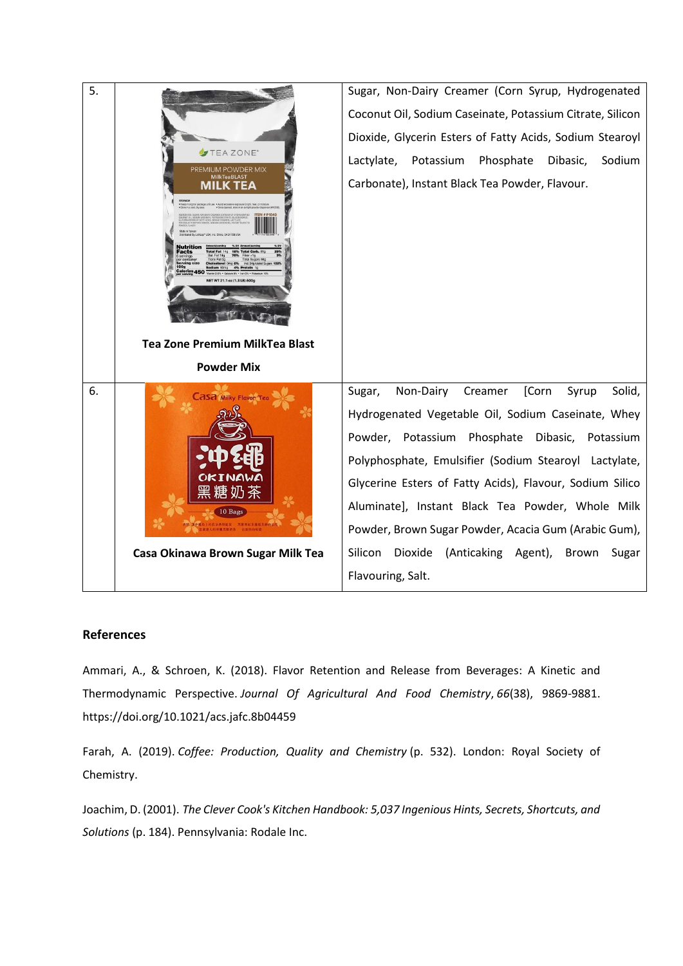| 5. |                                                       | Sugar, Non-Dairy Creamer (Corn Syrup, Hydrogenated                                                                                                                                                                                                                                                                                                                                                  |
|----|-------------------------------------------------------|-----------------------------------------------------------------------------------------------------------------------------------------------------------------------------------------------------------------------------------------------------------------------------------------------------------------------------------------------------------------------------------------------------|
|    |                                                       | Coconut Oil, Sodium Caseinate, Potassium Citrate, Silicon                                                                                                                                                                                                                                                                                                                                           |
|    |                                                       | Dioxide, Glycerin Esters of Fatty Acids, Sodium Stearoyl                                                                                                                                                                                                                                                                                                                                            |
|    | TEAZONE <sup>®</sup>                                  | Lactylate, Potassium<br>Phosphate<br>Dibasic,<br>Sodium                                                                                                                                                                                                                                                                                                                                             |
|    | PREMIUM POWDER MIX<br><b>MilkTeaBLAST</b><br>MILK TEA | Carbonate), Instant Black Tea Powder, Flavour.                                                                                                                                                                                                                                                                                                                                                      |
|    |                                                       |                                                                                                                                                                                                                                                                                                                                                                                                     |
|    | TWT 21.1 oz (1.3 LB) 600                              |                                                                                                                                                                                                                                                                                                                                                                                                     |
|    | <b>Tea Zone Premium MilkTea Blast</b>                 |                                                                                                                                                                                                                                                                                                                                                                                                     |
|    | <b>Powder Mix</b>                                     |                                                                                                                                                                                                                                                                                                                                                                                                     |
| 6. | <b>asa Milky Flavor</b><br>糖奶茶                        | Non-Dairy<br>Creamer<br>[Corn<br>Solid,<br>Sugar,<br>Syrup<br>Hydrogenated Vegetable Oil, Sodium Caseinate, Whey<br>Powder, Potassium Phosphate Dibasic, Potassium<br>Polyphosphate, Emulsifier (Sodium Stearoyl Lactylate,<br>Glycerine Esters of Fatty Acids), Flavour, Sodium Silico<br>Aluminate], Instant Black Tea Powder, Whole Milk<br>Powder, Brown Sugar Powder, Acacia Gum (Arabic Gum), |
|    | Casa Okinawa Brown Sugar Milk Tea                     | Silicon Dioxide (Anticaking Agent),<br>Brown<br>Sugar                                                                                                                                                                                                                                                                                                                                               |
|    |                                                       | Flavouring, Salt.                                                                                                                                                                                                                                                                                                                                                                                   |

## **References**

Ammari, A., & Schroen, K. (2018). Flavor Retention and Release from Beverages: A Kinetic and Thermodynamic Perspective. *Journal Of Agricultural And Food Chemistry*, *66*(38), 9869-9881. https://doi.org/10.1021/acs.jafc.8b04459

Farah, A. (2019). *Coffee: Production, Quality and Chemistry* (p. 532). London: Royal Society of Chemistry.

Joachim, D. (2001). *The Clever Cook's Kitchen Handbook: 5,037 Ingenious Hints, Secrets, Shortcuts, and Solutions* (p. 184). Pennsylvania: Rodale Inc.